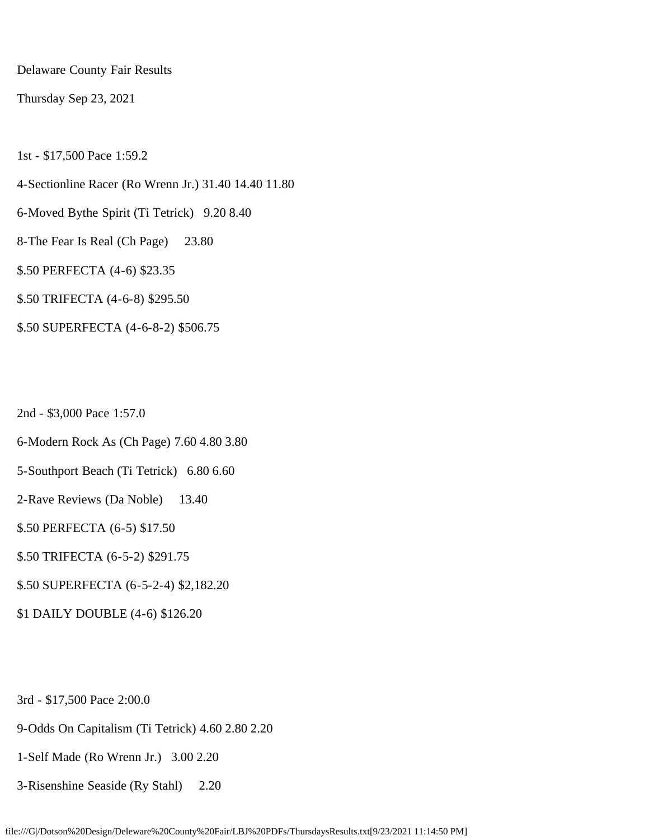Delaware County Fair Results

Thursday Sep 23, 2021

1st - \$17,500 Pace 1:59.2

4-Sectionline Racer (Ro Wrenn Jr.) 31.40 14.40 11.80

6-Moved Bythe Spirit (Ti Tetrick) 9.20 8.40

8-The Fear Is Real (Ch Page) 23.80

\$.50 PERFECTA (4-6) \$23.35

\$.50 TRIFECTA (4-6-8) \$295.50

\$.50 SUPERFECTA (4-6-8-2) \$506.75

2nd - \$3,000 Pace 1:57.0

6-Modern Rock As (Ch Page) 7.60 4.80 3.80

5-Southport Beach (Ti Tetrick) 6.80 6.60

2-Rave Reviews (Da Noble) 13.40

\$.50 PERFECTA (6-5) \$17.50

\$.50 TRIFECTA (6-5-2) \$291.75

\$.50 SUPERFECTA (6-5-2-4) \$2,182.20

\$1 DAILY DOUBLE (4-6) \$126.20

3rd - \$17,500 Pace 2:00.0

9-Odds On Capitalism (Ti Tetrick) 4.60 2.80 2.20

1-Self Made (Ro Wrenn Jr.) 3.00 2.20

3-Risenshine Seaside (Ry Stahl) 2.20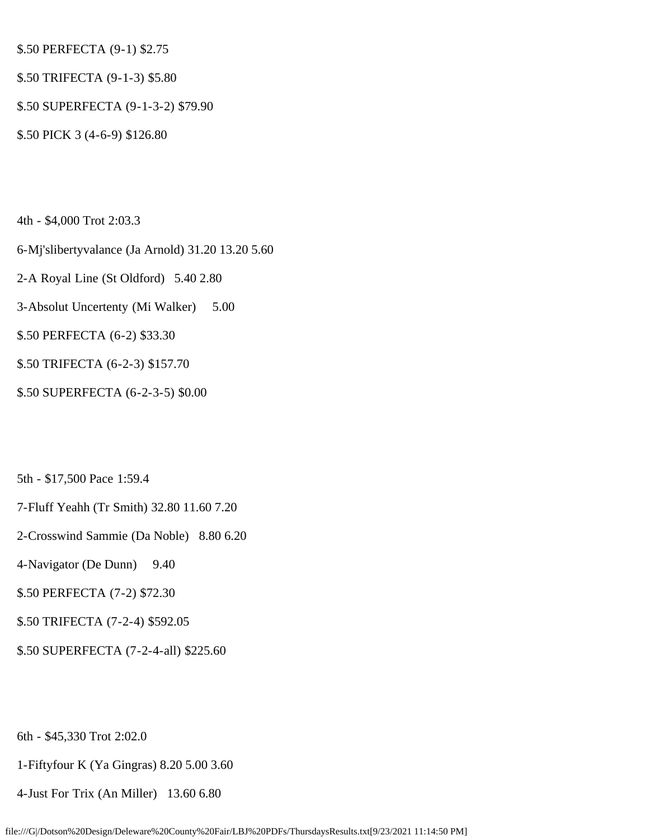\$.50 PERFECTA (9-1) \$2.75

- \$.50 TRIFECTA (9-1-3) \$5.80
- \$.50 SUPERFECTA (9-1-3-2) \$79.90
- \$.50 PICK 3 (4-6-9) \$126.80

4th - \$4,000 Trot 2:03.3

- 6-Mj'slibertyvalance (Ja Arnold) 31.20 13.20 5.60
- 2-A Royal Line (St Oldford) 5.40 2.80
- 3-Absolut Uncertenty (Mi Walker) 5.00

\$.50 PERFECTA (6-2) \$33.30

- \$.50 TRIFECTA (6-2-3) \$157.70
- \$.50 SUPERFECTA (6-2-3-5) \$0.00
- 5th \$17,500 Pace 1:59.4
- 7-Fluff Yeahh (Tr Smith) 32.80 11.60 7.20
- 2-Crosswind Sammie (Da Noble) 8.80 6.20
- 4-Navigator (De Dunn) 9.40
- \$.50 PERFECTA (7-2) \$72.30
- \$.50 TRIFECTA (7-2-4) \$592.05
- \$.50 SUPERFECTA (7-2-4-all) \$225.60

6th - \$45,330 Trot 2:02.0

1-Fiftyfour K (Ya Gingras) 8.20 5.00 3.60

4-Just For Trix (An Miller) 13.60 6.80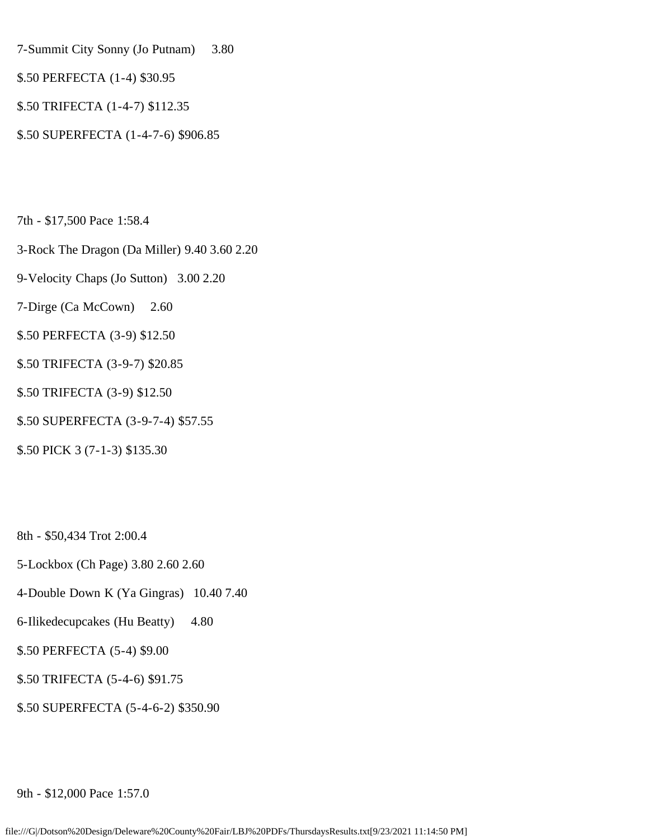7-Summit City Sonny (Jo Putnam) 3.80

- \$.50 PERFECTA (1-4) \$30.95
- \$.50 TRIFECTA (1-4-7) \$112.35
- \$.50 SUPERFECTA (1-4-7-6) \$906.85

7th - \$17,500 Pace 1:58.4

- 3-Rock The Dragon (Da Miller) 9.40 3.60 2.20
- 9-Velocity Chaps (Jo Sutton) 3.00 2.20
- 7-Dirge (Ca McCown) 2.60
- \$.50 PERFECTA (3-9) \$12.50
- \$.50 TRIFECTA (3-9-7) \$20.85
- \$.50 TRIFECTA (3-9) \$12.50
- \$.50 SUPERFECTA (3-9-7-4) \$57.55
- \$.50 PICK 3 (7-1-3) \$135.30

8th - \$50,434 Trot 2:00.4

- 5-Lockbox (Ch Page) 3.80 2.60 2.60
- 4-Double Down K (Ya Gingras) 10.40 7.40
- 6-Ilikedecupcakes (Hu Beatty) 4.80
- \$.50 PERFECTA (5-4) \$9.00
- \$.50 TRIFECTA (5-4-6) \$91.75
- \$.50 SUPERFECTA (5-4-6-2) \$350.90

9th - \$12,000 Pace 1:57.0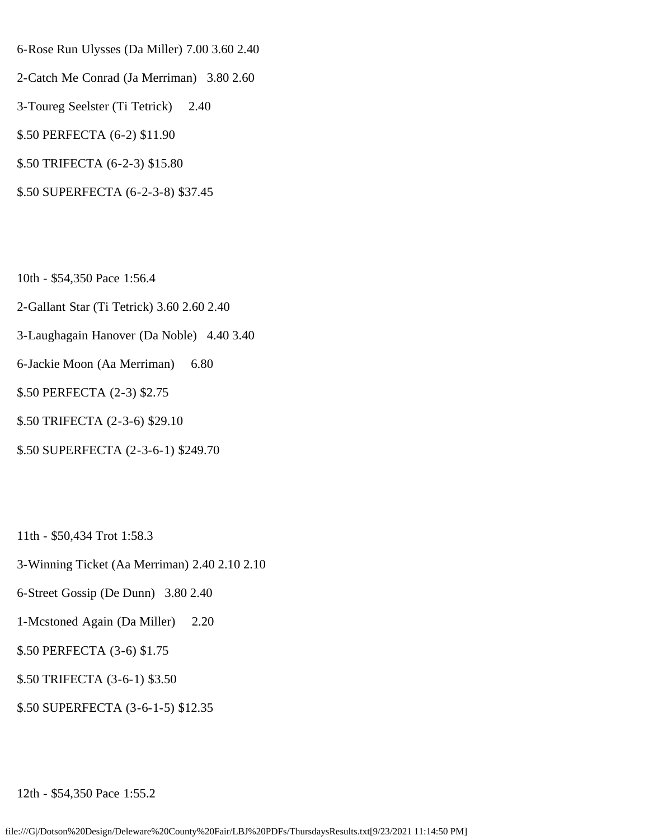- 6-Rose Run Ulysses (Da Miller) 7.00 3.60 2.40
- 2-Catch Me Conrad (Ja Merriman) 3.80 2.60
- 3-Toureg Seelster (Ti Tetrick) 2.40
- \$.50 PERFECTA (6-2) \$11.90
- \$.50 TRIFECTA (6-2-3) \$15.80
- \$.50 SUPERFECTA (6-2-3-8) \$37.45
- 10th \$54,350 Pace 1:56.4
- 2-Gallant Star (Ti Tetrick) 3.60 2.60 2.40
- 3-Laughagain Hanover (Da Noble) 4.40 3.40
- 6-Jackie Moon (Aa Merriman) 6.80
- \$.50 PERFECTA (2-3) \$2.75
- \$.50 TRIFECTA (2-3-6) \$29.10
- \$.50 SUPERFECTA (2-3-6-1) \$249.70
- 11th \$50,434 Trot 1:58.3
- 3-Winning Ticket (Aa Merriman) 2.40 2.10 2.10
- 6-Street Gossip (De Dunn) 3.80 2.40
- 1-Mcstoned Again (Da Miller) 2.20
- \$.50 PERFECTA (3-6) \$1.75
- \$.50 TRIFECTA (3-6-1) \$3.50
- \$.50 SUPERFECTA (3-6-1-5) \$12.35

12th - \$54,350 Pace 1:55.2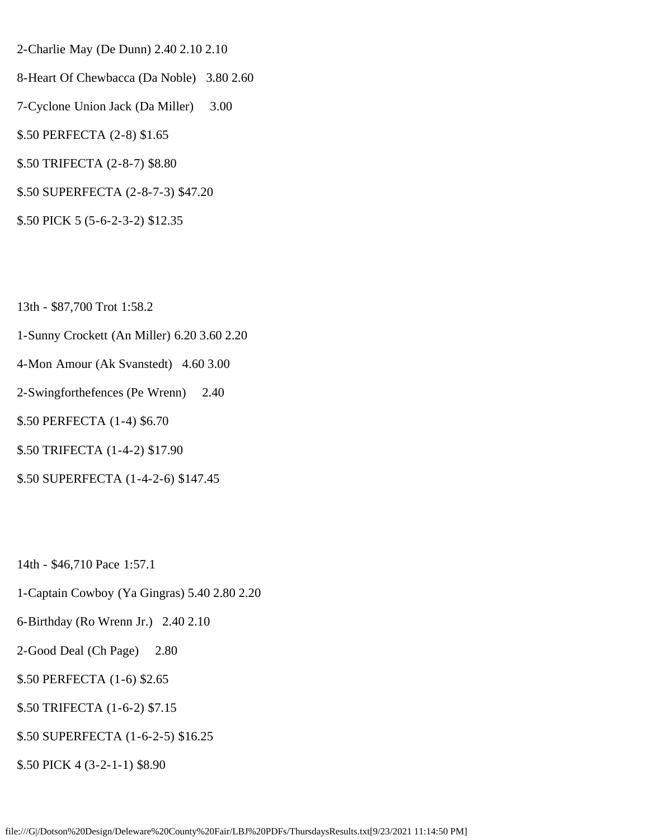- 2-Charlie May (De Dunn) 2.40 2.10 2.10
- 8-Heart Of Chewbacca (Da Noble) 3.80 2.60
- 7-Cyclone Union Jack (Da Miller) 3.00
- \$.50 PERFECTA (2-8) \$1.65
- \$.50 TRIFECTA (2-8-7) \$8.80
- \$.50 SUPERFECTA (2-8-7-3) \$47.20
- \$.50 PICK 5 (5-6-2-3-2) \$12.35
- 13th \$87,700 Trot 1:58.2
- 1-Sunny Crockett (An Miller) 6.20 3.60 2.20
- 4-Mon Amour (Ak Svanstedt) 4.60 3.00
- 2-Swingforthefences (Pe Wrenn) 2.40
- \$.50 PERFECTA (1-4) \$6.70
- \$.50 TRIFECTA (1-4-2) \$17.90
- \$.50 SUPERFECTA (1-4-2-6) \$147.45
- 14th \$46,710 Pace 1:57.1
- 1-Captain Cowboy (Ya Gingras) 5.40 2.80 2.20
- 6-Birthday (Ro Wrenn Jr.) 2.40 2.10
- 2-Good Deal (Ch Page) 2.80
- \$.50 PERFECTA (1-6) \$2.65
- \$.50 TRIFECTA (1-6-2) \$7.15
- \$.50 SUPERFECTA (1-6-2-5) \$16.25
- \$.50 PICK 4 (3-2-1-1) \$8.90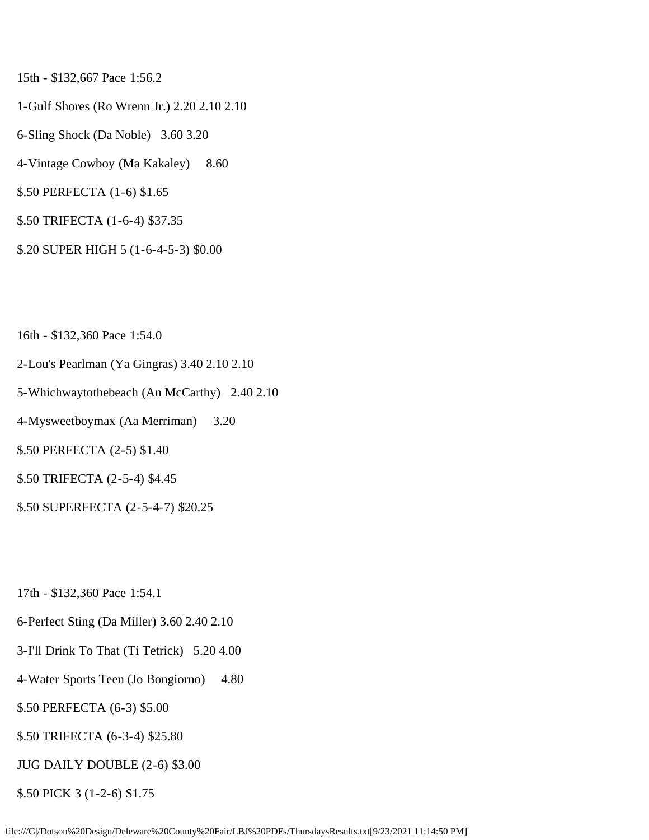15th - \$132,667 Pace 1:56.2

- 1-Gulf Shores (Ro Wrenn Jr.) 2.20 2.10 2.10
- 6-Sling Shock (Da Noble) 3.60 3.20
- 4-Vintage Cowboy (Ma Kakaley) 8.60
- \$.50 PERFECTA (1-6) \$1.65
- \$.50 TRIFECTA (1-6-4) \$37.35
- \$.20 SUPER HIGH 5 (1-6-4-5-3) \$0.00

16th - \$132,360 Pace 1:54.0

- 2-Lou's Pearlman (Ya Gingras) 3.40 2.10 2.10
- 5-Whichwaytothebeach (An McCarthy) 2.40 2.10
- 4-Mysweetboymax (Aa Merriman) 3.20

\$.50 PERFECTA (2-5) \$1.40

- \$.50 TRIFECTA (2-5-4) \$4.45
- \$.50 SUPERFECTA (2-5-4-7) \$20.25

17th - \$132,360 Pace 1:54.1

- 6-Perfect Sting (Da Miller) 3.60 2.40 2.10
- 3-I'll Drink To That (Ti Tetrick) 5.20 4.00
- 4-Water Sports Teen (Jo Bongiorno) 4.80
- \$.50 PERFECTA (6-3) \$5.00
- \$.50 TRIFECTA (6-3-4) \$25.80
- JUG DAILY DOUBLE (2-6) \$3.00
- \$.50 PICK 3 (1-2-6) \$1.75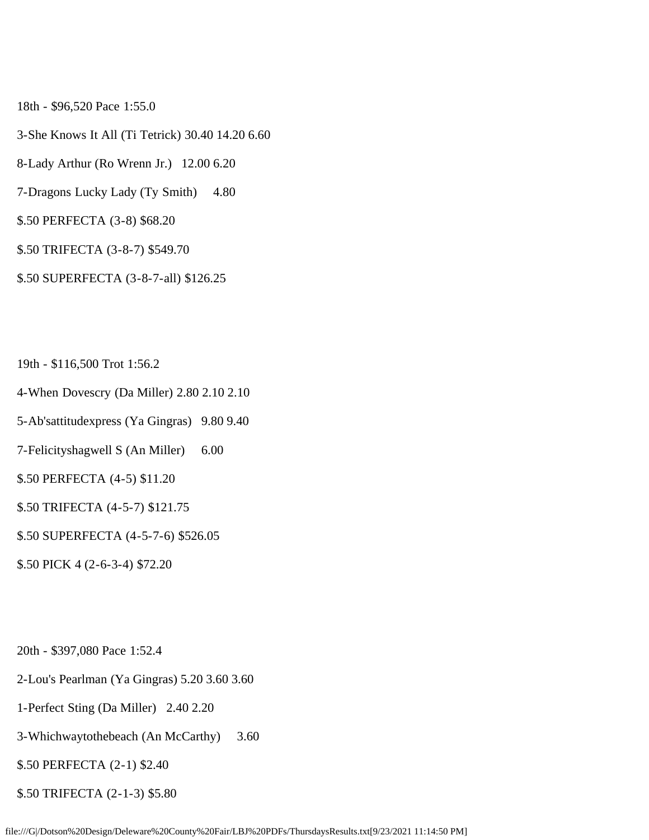18th - \$96,520 Pace 1:55.0

- 3-She Knows It All (Ti Tetrick) 30.40 14.20 6.60
- 8-Lady Arthur (Ro Wrenn Jr.) 12.00 6.20
- 7-Dragons Lucky Lady (Ty Smith) 4.80
- \$.50 PERFECTA (3-8) \$68.20
- \$.50 TRIFECTA (3-8-7) \$549.70
- \$.50 SUPERFECTA (3-8-7-all) \$126.25
- 19th \$116,500 Trot 1:56.2
- 4-When Dovescry (Da Miller) 2.80 2.10 2.10
- 5-Ab'sattitudexpress (Ya Gingras) 9.80 9.40
- 7-Felicityshagwell S (An Miller) 6.00
- \$.50 PERFECTA (4-5) \$11.20
- \$.50 TRIFECTA (4-5-7) \$121.75
- \$.50 SUPERFECTA (4-5-7-6) \$526.05
- \$.50 PICK 4 (2-6-3-4) \$72.20
- 20th \$397,080 Pace 1:52.4
- 2-Lou's Pearlman (Ya Gingras) 5.20 3.60 3.60
- 1-Perfect Sting (Da Miller) 2.40 2.20
- 3-Whichwaytothebeach (An McCarthy) 3.60
- \$.50 PERFECTA (2-1) \$2.40
- \$.50 TRIFECTA (2-1-3) \$5.80